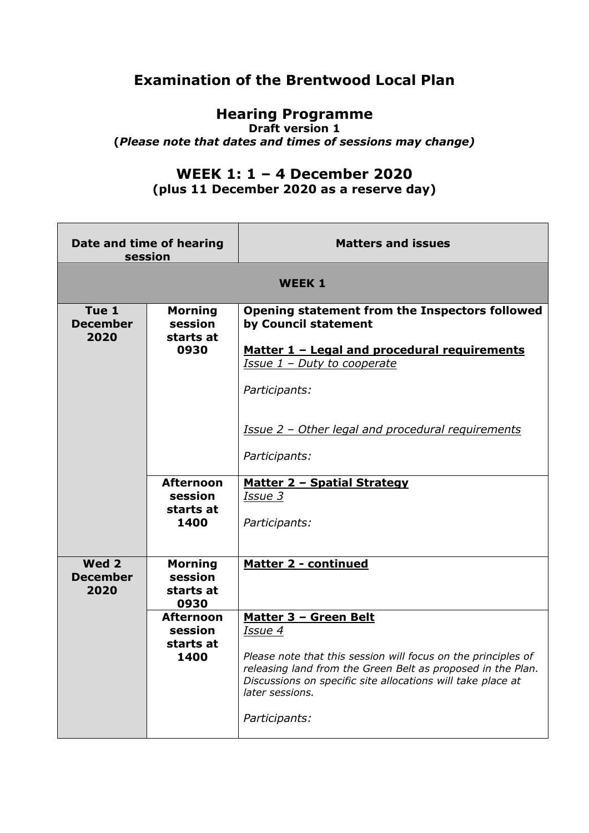## **Examination of the Brentwood Local Plan**

## **Hearing Programme**

**Draft version 1**

**(***Please note that dates and times of sessions may change)*

## **WEEK 1: 1 – 4 December 2020**

**(plus 11 December 2020 as a reserve day)**

| Date and time of hearing<br>session |                                                                               | <b>Matters and issues</b>                                                                                                                                                                                                                                                                      |  |
|-------------------------------------|-------------------------------------------------------------------------------|------------------------------------------------------------------------------------------------------------------------------------------------------------------------------------------------------------------------------------------------------------------------------------------------|--|
| <b>WEEK 1</b>                       |                                                                               |                                                                                                                                                                                                                                                                                                |  |
| Tue 1<br><b>December</b><br>2020    | <b>Morning</b><br>session<br>starts at<br>0930<br><b>Afternoon</b><br>session | Opening statement from the Inspectors followed<br>by Council statement<br>Matter 1 - Legal and procedural requirements<br>Issue 1 - Duty to cooperate<br>Participants:<br>Issue 2 - Other legal and procedural requirements<br>Participants:<br><u> Matter 2 - Spatial Strategy</u><br>Issue 3 |  |
|                                     | starts at<br>1400                                                             | Participants:                                                                                                                                                                                                                                                                                  |  |
| Wed 2<br><b>December</b><br>2020    | <b>Morning</b><br>session<br>starts at<br>0930                                | <b>Matter 2 - continued</b>                                                                                                                                                                                                                                                                    |  |
|                                     | <b>Afternoon</b><br>session<br>starts at<br>1400                              | Matter 3 - Green Belt<br>Issue 4<br>Please note that this session will focus on the principles of<br>releasing land from the Green Belt as proposed in the Plan.<br>Discussions on specific site allocations will take place at<br>later sessions.<br>Participants:                            |  |